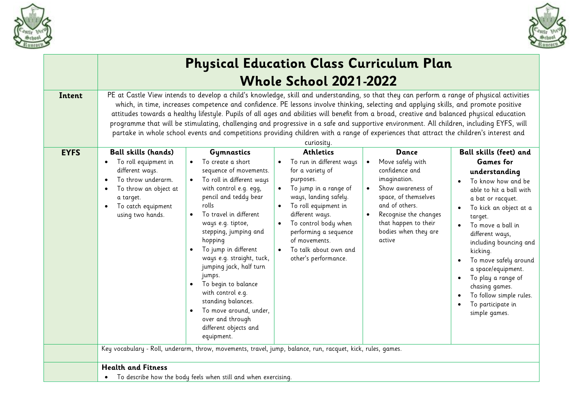

-F



|             | <b>Physical Education Class Curriculum Plan</b>                                                                                                                                                                                                                                                                                                                                                                                                                                                                                                                                                                                                                                                                                         |                                                                                                                                                                                                                                                                                                                                                                                                                                                                                        |                                                                                                                                                                                                                                                                                                                                                                                                              |                                                                                                                                                                                                               |                                                                                                                                                                                                                                                                                                                                                                                                                     |  |  |  |  |
|-------------|-----------------------------------------------------------------------------------------------------------------------------------------------------------------------------------------------------------------------------------------------------------------------------------------------------------------------------------------------------------------------------------------------------------------------------------------------------------------------------------------------------------------------------------------------------------------------------------------------------------------------------------------------------------------------------------------------------------------------------------------|----------------------------------------------------------------------------------------------------------------------------------------------------------------------------------------------------------------------------------------------------------------------------------------------------------------------------------------------------------------------------------------------------------------------------------------------------------------------------------------|--------------------------------------------------------------------------------------------------------------------------------------------------------------------------------------------------------------------------------------------------------------------------------------------------------------------------------------------------------------------------------------------------------------|---------------------------------------------------------------------------------------------------------------------------------------------------------------------------------------------------------------|---------------------------------------------------------------------------------------------------------------------------------------------------------------------------------------------------------------------------------------------------------------------------------------------------------------------------------------------------------------------------------------------------------------------|--|--|--|--|
|             |                                                                                                                                                                                                                                                                                                                                                                                                                                                                                                                                                                                                                                                                                                                                         |                                                                                                                                                                                                                                                                                                                                                                                                                                                                                        | <b>Whole School 2021-2022</b>                                                                                                                                                                                                                                                                                                                                                                                |                                                                                                                                                                                                               |                                                                                                                                                                                                                                                                                                                                                                                                                     |  |  |  |  |
| Intent      | PE at Castle View intends to develop a child's knowledge, skill and understanding, so that they can perform a range of physical activities<br>which, in time, increases competence and confidence. PE lessons involve thinking, selecting and applying skills, and promote positive<br>attitudes towards a healthy lifestyle. Pupils of all ages and abilities will benefit from a broad, creative and balanced physical education<br>programme that will be stimulating, challenging and progressive in a safe and supportive environment. All children, including EYFS, will<br>partake in whole school events and competitions providing children with a range of experiences that attract the children's interest and<br>curiosity. |                                                                                                                                                                                                                                                                                                                                                                                                                                                                                        |                                                                                                                                                                                                                                                                                                                                                                                                              |                                                                                                                                                                                                               |                                                                                                                                                                                                                                                                                                                                                                                                                     |  |  |  |  |
| <b>EYFS</b> | <b>Ball skills (hands)</b><br>To roll equipment in<br>$\bullet$<br>different ways.<br>To throw underarm.<br>$\bullet$<br>To throw an object at<br>$\bullet$<br>a target.<br>To catch equipment<br>$\bullet$<br>using two hands.                                                                                                                                                                                                                                                                                                                                                                                                                                                                                                         | Gymnastics<br>To create a short<br>sequence of movements.<br>To roll in different ways<br>with control e.g. egg,<br>pencil and teddy bear<br>rolls<br>To travel in different<br>ways e.g. tiptoe,<br>stepping, jumping and<br>hopping<br>To jump in different<br>ways e.g. straight, tuck,<br>jumping jack, half turn<br>jumps.<br>To begin to balance<br>with control e.g.<br>standing balances.<br>To move around, under,<br>over and through<br>different objects and<br>equipment. | <b>Athletics</b><br>To run in different ways<br>for a variety of<br>purposes.<br>To jump in a range of<br>ways, landing safely.<br>To roll equipment in<br>different ways.<br>To control body when<br>performing a sequence<br>of movements.<br>To talk about own and<br>other's performance.<br>Key vocabulary - Roll, underarm, throw, movements, travel, jump, balance, run, racquet, kick, rules, games. | Dance<br>Move safely with<br>confidence and<br>imagination.<br>Show awareness of<br>space, of themselves<br>and of others.<br>Recognise the changes<br>that happen to their<br>bodies when they are<br>active | <b>Ball skills (feet) and</b><br><b>Games</b> for<br>understanding<br>To know how and be<br>able to hit a ball with<br>a bat or racquet.<br>To kick an object at a<br>target.<br>To move a ball in<br>different ways,<br>including bouncing and<br>kicking.<br>To move safely around<br>a space/equipment.<br>To play a range of<br>chasing games.<br>To follow simple rules.<br>To participate in<br>simple games. |  |  |  |  |
|             |                                                                                                                                                                                                                                                                                                                                                                                                                                                                                                                                                                                                                                                                                                                                         |                                                                                                                                                                                                                                                                                                                                                                                                                                                                                        |                                                                                                                                                                                                                                                                                                                                                                                                              |                                                                                                                                                                                                               |                                                                                                                                                                                                                                                                                                                                                                                                                     |  |  |  |  |
|             | <b>Health and Fitness</b><br>$\bullet$                                                                                                                                                                                                                                                                                                                                                                                                                                                                                                                                                                                                                                                                                                  | To describe how the body feels when still and when exercising.                                                                                                                                                                                                                                                                                                                                                                                                                         |                                                                                                                                                                                                                                                                                                                                                                                                              |                                                                                                                                                                                                               |                                                                                                                                                                                                                                                                                                                                                                                                                     |  |  |  |  |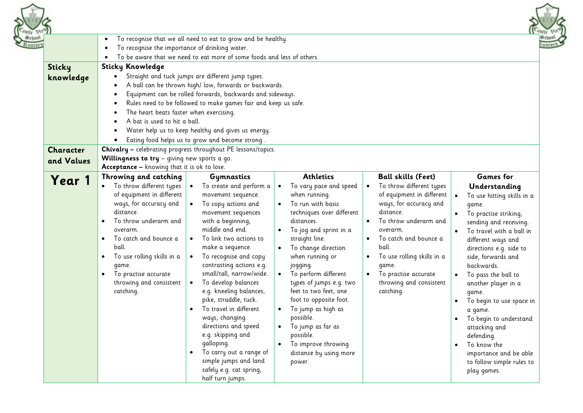



|                                                                                                                                                                                                                                                             |                                                                                                                                                                                                                                                                                                                                                                                                                                                                                                         |                                                                                                                                                                                                                                                                                                                                                                                                                                                     |                                                                                                                                                                                                                                                                                                                                                                                                                                                                                                  | $11 - 421$                                                                                                                                                                                                                                                                                                                                                                                                                                                         |  |  |  |
|-------------------------------------------------------------------------------------------------------------------------------------------------------------------------------------------------------------------------------------------------------------|---------------------------------------------------------------------------------------------------------------------------------------------------------------------------------------------------------------------------------------------------------------------------------------------------------------------------------------------------------------------------------------------------------------------------------------------------------------------------------------------------------|-----------------------------------------------------------------------------------------------------------------------------------------------------------------------------------------------------------------------------------------------------------------------------------------------------------------------------------------------------------------------------------------------------------------------------------------------------|--------------------------------------------------------------------------------------------------------------------------------------------------------------------------------------------------------------------------------------------------------------------------------------------------------------------------------------------------------------------------------------------------------------------------------------------------------------------------------------------------|--------------------------------------------------------------------------------------------------------------------------------------------------------------------------------------------------------------------------------------------------------------------------------------------------------------------------------------------------------------------------------------------------------------------------------------------------------------------|--|--|--|
| $\bullet$                                                                                                                                                                                                                                                   |                                                                                                                                                                                                                                                                                                                                                                                                                                                                                                         |                                                                                                                                                                                                                                                                                                                                                                                                                                                     |                                                                                                                                                                                                                                                                                                                                                                                                                                                                                                  |                                                                                                                                                                                                                                                                                                                                                                                                                                                                    |  |  |  |
| $\bullet$                                                                                                                                                                                                                                                   |                                                                                                                                                                                                                                                                                                                                                                                                                                                                                                         |                                                                                                                                                                                                                                                                                                                                                                                                                                                     |                                                                                                                                                                                                                                                                                                                                                                                                                                                                                                  |                                                                                                                                                                                                                                                                                                                                                                                                                                                                    |  |  |  |
|                                                                                                                                                                                                                                                             |                                                                                                                                                                                                                                                                                                                                                                                                                                                                                                         |                                                                                                                                                                                                                                                                                                                                                                                                                                                     |                                                                                                                                                                                                                                                                                                                                                                                                                                                                                                  |                                                                                                                                                                                                                                                                                                                                                                                                                                                                    |  |  |  |
|                                                                                                                                                                                                                                                             |                                                                                                                                                                                                                                                                                                                                                                                                                                                                                                         |                                                                                                                                                                                                                                                                                                                                                                                                                                                     |                                                                                                                                                                                                                                                                                                                                                                                                                                                                                                  |                                                                                                                                                                                                                                                                                                                                                                                                                                                                    |  |  |  |
|                                                                                                                                                                                                                                                             |                                                                                                                                                                                                                                                                                                                                                                                                                                                                                                         |                                                                                                                                                                                                                                                                                                                                                                                                                                                     |                                                                                                                                                                                                                                                                                                                                                                                                                                                                                                  |                                                                                                                                                                                                                                                                                                                                                                                                                                                                    |  |  |  |
|                                                                                                                                                                                                                                                             |                                                                                                                                                                                                                                                                                                                                                                                                                                                                                                         |                                                                                                                                                                                                                                                                                                                                                                                                                                                     |                                                                                                                                                                                                                                                                                                                                                                                                                                                                                                  |                                                                                                                                                                                                                                                                                                                                                                                                                                                                    |  |  |  |
|                                                                                                                                                                                                                                                             |                                                                                                                                                                                                                                                                                                                                                                                                                                                                                                         |                                                                                                                                                                                                                                                                                                                                                                                                                                                     |                                                                                                                                                                                                                                                                                                                                                                                                                                                                                                  |                                                                                                                                                                                                                                                                                                                                                                                                                                                                    |  |  |  |
|                                                                                                                                                                                                                                                             |                                                                                                                                                                                                                                                                                                                                                                                                                                                                                                         |                                                                                                                                                                                                                                                                                                                                                                                                                                                     |                                                                                                                                                                                                                                                                                                                                                                                                                                                                                                  |                                                                                                                                                                                                                                                                                                                                                                                                                                                                    |  |  |  |
|                                                                                                                                                                                                                                                             |                                                                                                                                                                                                                                                                                                                                                                                                                                                                                                         |                                                                                                                                                                                                                                                                                                                                                                                                                                                     |                                                                                                                                                                                                                                                                                                                                                                                                                                                                                                  |                                                                                                                                                                                                                                                                                                                                                                                                                                                                    |  |  |  |
|                                                                                                                                                                                                                                                             |                                                                                                                                                                                                                                                                                                                                                                                                                                                                                                         |                                                                                                                                                                                                                                                                                                                                                                                                                                                     |                                                                                                                                                                                                                                                                                                                                                                                                                                                                                                  |                                                                                                                                                                                                                                                                                                                                                                                                                                                                    |  |  |  |
|                                                                                                                                                                                                                                                             |                                                                                                                                                                                                                                                                                                                                                                                                                                                                                                         |                                                                                                                                                                                                                                                                                                                                                                                                                                                     |                                                                                                                                                                                                                                                                                                                                                                                                                                                                                                  |                                                                                                                                                                                                                                                                                                                                                                                                                                                                    |  |  |  |
|                                                                                                                                                                                                                                                             |                                                                                                                                                                                                                                                                                                                                                                                                                                                                                                         |                                                                                                                                                                                                                                                                                                                                                                                                                                                     |                                                                                                                                                                                                                                                                                                                                                                                                                                                                                                  |                                                                                                                                                                                                                                                                                                                                                                                                                                                                    |  |  |  |
|                                                                                                                                                                                                                                                             |                                                                                                                                                                                                                                                                                                                                                                                                                                                                                                         |                                                                                                                                                                                                                                                                                                                                                                                                                                                     |                                                                                                                                                                                                                                                                                                                                                                                                                                                                                                  |                                                                                                                                                                                                                                                                                                                                                                                                                                                                    |  |  |  |
|                                                                                                                                                                                                                                                             |                                                                                                                                                                                                                                                                                                                                                                                                                                                                                                         |                                                                                                                                                                                                                                                                                                                                                                                                                                                     |                                                                                                                                                                                                                                                                                                                                                                                                                                                                                                  |                                                                                                                                                                                                                                                                                                                                                                                                                                                                    |  |  |  |
|                                                                                                                                                                                                                                                             |                                                                                                                                                                                                                                                                                                                                                                                                                                                                                                         |                                                                                                                                                                                                                                                                                                                                                                                                                                                     |                                                                                                                                                                                                                                                                                                                                                                                                                                                                                                  |                                                                                                                                                                                                                                                                                                                                                                                                                                                                    |  |  |  |
|                                                                                                                                                                                                                                                             | Gymnastics                                                                                                                                                                                                                                                                                                                                                                                                                                                                                              |                                                                                                                                                                                                                                                                                                                                                                                                                                                     |                                                                                                                                                                                                                                                                                                                                                                                                                                                                                                  | <b>Games</b> for                                                                                                                                                                                                                                                                                                                                                                                                                                                   |  |  |  |
| of equipment in different<br>ways, for accuracy and<br>distance.<br>To throw underarm and<br>overarm.<br>To catch and bounce a<br>ball.<br>To use rolling skills in a<br>$\bullet$<br>game.<br>To practise accurate<br>throwing and consistent<br>catching. | movement sequence.<br>To copy actions and<br>$\bullet$<br>movement sequences<br>with a beginning,<br>middle and end.<br>To link two actions to<br>$\bullet$<br>make a sequence.<br>To recognise and copy<br>$\bullet$<br>contrasting actions e.g.<br>small/tall, narrow/wide.<br>To develop balances<br>$\bullet$<br>e.g. kneeling balances,<br>pike, straddle, tuck.<br>To travel in different<br>ways, changing<br>directions and speed<br>e.g. skipping and<br>galloping.<br>To carry out a range of | when running.<br>To run with basic<br>techniques over different<br>distances.<br>To jog and sprint in a<br>straight line.<br>To change direction<br>$\bullet$<br>when running or<br>jogging.<br>To perform different<br>types of jumps e.g. two<br>feet to two feet, one<br>foot to opposite foot.<br>To jump as high as<br>possible.<br>To jump as far as<br>possible.<br>To improve throwing<br>distance by using more                            | of equipment in different<br>ways, for accuracy and<br>distance.<br>To throw underarm and<br>overarm.<br>To catch and bounce a<br>ball.<br>To use rolling skills in a<br>$\bullet$<br>game.<br>To practise accurate<br>throwing and consistent<br>catching.                                                                                                                                                                                                                                      | Understanding<br>To use hitting skills in a<br>game.<br>To practise striking,<br>sending and receiving.<br>To travel with a ball in<br>different ways and<br>directions e.g. side to<br>side, forwards and<br>backwards.<br>To pass the ball to<br>another player in a<br>game.<br>To begin to use space in<br>$\bullet$<br>a game.<br>To begin to understand<br>attacking and<br>defending.<br>To know the<br>importance and be able<br>to follow simple rules to |  |  |  |
|                                                                                                                                                                                                                                                             | $\bullet$<br><b>Sticky Knowledge</b><br>Throwing and catching<br>To throw different types                                                                                                                                                                                                                                                                                                                                                                                                               | To recognise the importance of drinking water.<br>Straight and tuck jumps are different jump types.<br>The heart beats faster when exercising.<br>A bat is used to hit a ball.<br>Water help us to keep healthy and gives us energy.<br>Eating food helps us to grow and become strong.<br><b>Willingness to try</b> $-$ giving new sports a go.<br>Acceptance - knowing that it is ok to lose.<br>To create and perform a<br>simple jumps and land | To recognise that we all need to eat to grow and be healthy.<br>To be aware that we need to eat more of some foods and less of others.<br>A ball can be thrown high/ low, forwards or backwards.<br>Equipment can be rolled forwards, backwards and sideways.<br>Rules need to be followed to make games fair and keep us safe.<br>Chivalry - celebrating progress throughout PE lessons/topics.<br><b>Athletics</b><br>To vary pace and speed<br>$\bullet$<br>power.<br>safely e.g. cat spring, | <b>Ball skills (Feet)</b><br>To throw different types<br>$\bullet$                                                                                                                                                                                                                                                                                                                                                                                                 |  |  |  |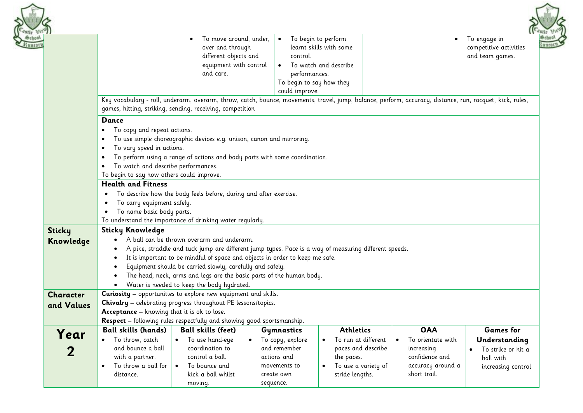

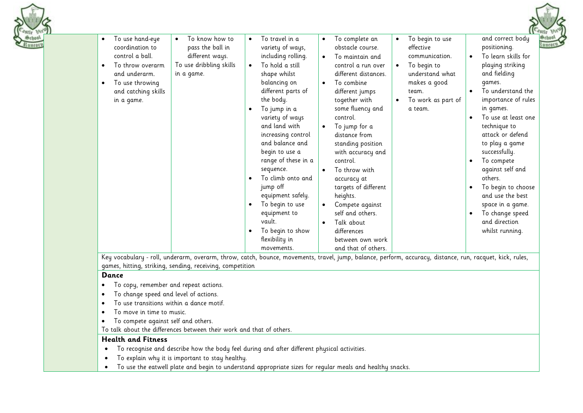|                                                                                        |                                                                                               |                        |                                                                             |                        |                                                                             |                        |                                                |           | $e_{s_{III}}$                                           |
|----------------------------------------------------------------------------------------|-----------------------------------------------------------------------------------------------|------------------------|-----------------------------------------------------------------------------|------------------------|-----------------------------------------------------------------------------|------------------------|------------------------------------------------|-----------|---------------------------------------------------------|
| To use hand-eye<br>$\bullet$<br>coordination to<br>control a ball.<br>To throw overarm | To know how to<br>$\bullet$<br>pass the ball in<br>different ways.<br>To use dribbling skills | $\bullet$<br>$\bullet$ | To travel in a<br>variety of ways,<br>including rolling.<br>To hold a still | $\bullet$<br>$\bullet$ | To complete an<br>obstacle course.<br>To maintain and<br>control a run over | $\bullet$<br>$\bullet$ | To begin to use<br>effective<br>communication. | $\bullet$ | and correct body<br>positioning.<br>To learn skills for |
| and underarm.<br>To use throwing                                                       | in a game.                                                                                    |                        | shape whilst<br>balancing on                                                | $\bullet$              | different distances.<br>To combine                                          |                        | To begin to<br>understand what<br>makes a good |           | playing striking<br>and fielding<br>qames.              |
| and catching skills<br>in a game.                                                      |                                                                                               |                        | different parts of<br>the body.                                             |                        | different jumps<br>together with                                            | $\bullet$              | team.<br>To work as part of                    |           | To understand the<br>importance of rules                |
|                                                                                        |                                                                                               | $\bullet$              | To jump in a<br>variety of ways<br>and land with                            | $\bullet$              | some fluency and<br>control.<br>To jump for a                               |                        | a team.                                        | $\bullet$ | in games.<br>To use at least one<br>technique to        |
|                                                                                        |                                                                                               |                        | increasing control<br>and balance and                                       |                        | distance from<br>standing position                                          |                        |                                                |           | attack or defend<br>to play a game                      |
|                                                                                        |                                                                                               |                        | begin to use a<br>range of these in a<br>sequence.                          | $\bullet$              | with accuracy and<br>control.<br>To throw with                              |                        |                                                | $\bullet$ | successfully.<br>To compete<br>against self and         |
|                                                                                        |                                                                                               |                        | To climb onto and<br>jump off                                               |                        | accuracy at<br>targets of different                                         |                        |                                                | $\bullet$ | others.<br>To begin to choose                           |
|                                                                                        |                                                                                               | $\bullet$              | equipment safely.<br>To begin to use                                        | $\bullet$              | heights.<br>Compete against                                                 |                        |                                                |           | and use the best<br>space in a game.                    |
|                                                                                        |                                                                                               | $\bullet$              | equipment to<br>vault.<br>To begin to show                                  | $\bullet$              | self and others.<br>Talk about<br>differences                               |                        |                                                | $\bullet$ | To change speed<br>and direction<br>whilst running.     |
|                                                                                        |                                                                                               |                        | flexibility in<br>movements.                                                |                        | between own work<br>and that of others.                                     |                        |                                                |           |                                                         |

Key vocabulary - roll, underarm, overarm, throw, catch, bounce, movements, travel, jump, balance, perform, accuracy, distance, run, racquet, kick, rules, games, hitting, striking, sending, receiving, competition

#### **Dance**

- To copy, remember and repeat actions.
- To change speed and level of actions.
- To use transitions within a dance motif.
- To move in time to music.
- To compete against self and others.

To talk about the differences between their work and that of others.

# **Health and Fitness**

- To recognise and describe how the body feel during and after different physical activities.
- To explain why it is important to stay healthy.
- To use the eatwell plate and begin to understand appropriate sizes for regular meals and healthy snacks.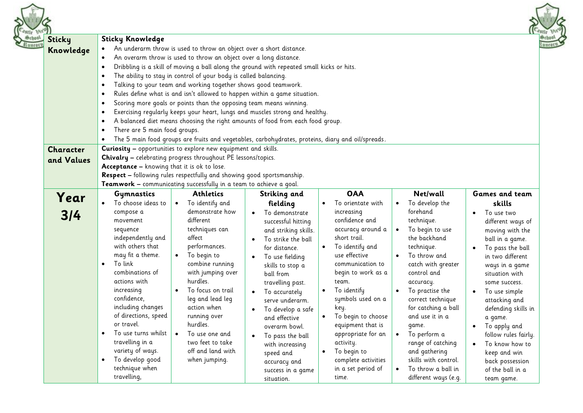| <b>Sticky</b><br>Knowledge     | <b>Sticky Knowledge</b><br>An underarm throw is used to throw an object over a short distance.<br>$\bullet$<br>An overarm throw is used to throw an object over a long distance.<br>$\bullet$<br>Dribbling is a skill of moving a ball along the ground with repeated small kicks or hits.<br>$\bullet$<br>The ability to stay in control of your body is called balancing.<br>$\bullet$<br>Talking to your team and working together shows good teamwork.<br>$\bullet$<br>Rules define what is and isn't allowed to happen within a game situation.<br>$\bullet$<br>Scoring more goals or points than the opposing team means winning.<br>$\bullet$<br>Exercising regularly keeps your heart, lungs and muscles strong and healthy.<br>$\bullet$<br>A balanced diet means choosing the right amounts of food from each food group.<br>$\bullet$<br>There are 5 main food groups.<br>$\bullet$<br>The 5 main food groups are fruits and vegetables, carbohydrates, proteins, diary and oil/spreads.<br>$\bullet$ |                                                                                                                                                                                                                                                                                                                                                                                                                                  |                                                                                                                                                                                                                                                                                                                                                                                                        |                                                                                                                                                                                                                                                                                                                                                                                                 |                                                                                                                                                                                                                                                                                                                                                                                                                        |
|--------------------------------|------------------------------------------------------------------------------------------------------------------------------------------------------------------------------------------------------------------------------------------------------------------------------------------------------------------------------------------------------------------------------------------------------------------------------------------------------------------------------------------------------------------------------------------------------------------------------------------------------------------------------------------------------------------------------------------------------------------------------------------------------------------------------------------------------------------------------------------------------------------------------------------------------------------------------------------------------------------------------------------------------------------|----------------------------------------------------------------------------------------------------------------------------------------------------------------------------------------------------------------------------------------------------------------------------------------------------------------------------------------------------------------------------------------------------------------------------------|--------------------------------------------------------------------------------------------------------------------------------------------------------------------------------------------------------------------------------------------------------------------------------------------------------------------------------------------------------------------------------------------------------|-------------------------------------------------------------------------------------------------------------------------------------------------------------------------------------------------------------------------------------------------------------------------------------------------------------------------------------------------------------------------------------------------|------------------------------------------------------------------------------------------------------------------------------------------------------------------------------------------------------------------------------------------------------------------------------------------------------------------------------------------------------------------------------------------------------------------------|
| <b>Character</b><br>and Values | Curiosity - opportunities to explore new equipment and skills.<br>Chivalry - celebrating progress throughout PE lessons/topics.<br>Acceptance - knowing that it is ok to lose.<br>Respect - following rules respectfully and showing good sportsmanship.<br>Teamwork - communicating successfully in a team to achieve a goal.                                                                                                                                                                                                                                                                                                                                                                                                                                                                                                                                                                                                                                                                                   |                                                                                                                                                                                                                                                                                                                                                                                                                                  |                                                                                                                                                                                                                                                                                                                                                                                                        |                                                                                                                                                                                                                                                                                                                                                                                                 |                                                                                                                                                                                                                                                                                                                                                                                                                        |
| Year                           | <b>Athletics</b><br>Gymnastics                                                                                                                                                                                                                                                                                                                                                                                                                                                                                                                                                                                                                                                                                                                                                                                                                                                                                                                                                                                   | Striking and                                                                                                                                                                                                                                                                                                                                                                                                                     | <b>OAA</b>                                                                                                                                                                                                                                                                                                                                                                                             | Net/wall                                                                                                                                                                                                                                                                                                                                                                                        | <b>Games and team</b>                                                                                                                                                                                                                                                                                                                                                                                                  |
| 3/4                            | To choose ideas to<br>To identify and<br>$\bullet$<br>demonstrate how<br>compose a<br>different<br>movement<br>techniques can<br>sequence<br>affect<br>independently and<br>with others that<br>performances.<br>may fit a theme.<br>To begin to<br>$\bullet$<br>To link<br>combine running<br>$\bullet$<br>combinations of<br>with jumping over<br>hurdles.<br>actions with<br>increasing<br>To focus on trail<br>confidence,<br>leg and lead leg<br>including changes<br>action when<br>of directions, speed<br>running over<br>hurdles.<br>or travel.<br>To use turns whilst<br>To use one and<br>$\bullet$<br>$\bullet$<br>travelling in a<br>two feet to take<br>variety of ways.<br>off and land with<br>To develop good<br>when jumping.<br>$\bullet$<br>technique when<br>travelling,                                                                                                                                                                                                                    | fielding<br>To demonstrate<br>successful hitting<br>and striking skills.<br>To strike the ball<br>for distance.<br>To use fielding<br>skills to stop a<br>ball from<br>travelling past.<br>To accurately<br>$\bullet$<br>serve underarm.<br>To develop a safe<br>$\bullet$<br>and effective<br>overarm bowl.<br>To pass the ball<br>$\bullet$<br>with increasing<br>speed and<br>accuracy and<br>success in a game<br>situation. | To orientate with<br>increasing<br>confidence and<br>accuracy around a<br>short trail.<br>To identify and<br>$\bullet$<br>use effective<br>communication to<br>begin to work as a<br>team.<br>To identify<br>symbols used on a<br>key.<br>To begin to choose<br>equipment that is<br>appropriate for an<br>activity.<br>To begin to<br>$\bullet$<br>complete activities<br>in a set period of<br>time. | To develop the<br>forehand<br>technique.<br>To begin to use<br>the backhand<br>technique.<br>To throw and<br>catch with greater<br>control and<br>accuracy.<br>To practise the<br>correct technique<br>for catching a ball<br>and use it in a<br>game.<br>To perform a<br>$\bullet$<br>range of catching<br>and gathering<br>skills with control.<br>To throw a ball in<br>different ways (e.g. | skills<br>To use two<br>$\bullet$<br>different ways of<br>moving with the<br>ball in a game.<br>To pass the ball<br>in two different<br>ways in a game<br>situation with<br>some success.<br>To use simple<br>attacking and<br>defending skills in<br>a game.<br>To apply and<br>$\bullet$<br>follow rules fairly.<br>To know how to<br>$\bullet$<br>keep and win<br>back possession<br>of the ball in a<br>team game. |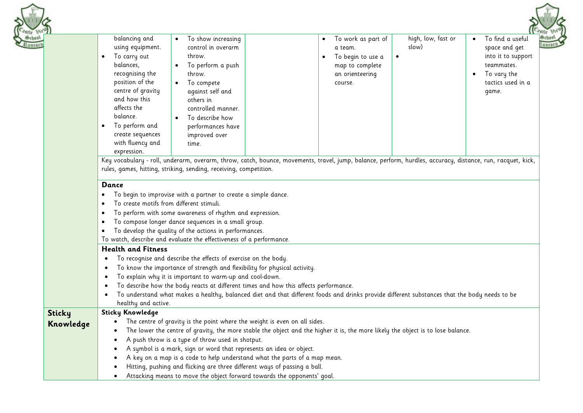|                            | To find a useful<br>balancing and<br>high, low, fast or<br>To show increasing<br>To work as part of<br>$\bullet$<br>٠<br>control in overarm<br>slow)<br>using equipment.<br>space and get<br>a team.<br>To carry out<br>into it to support<br>throw.<br>To begin to use a<br>$\bullet$<br>$\bullet$<br>balances,<br>To perform a push<br>map to complete<br>teammates.<br>recognising the<br>throw.<br>an orienteering<br>To vary the<br>$\bullet$<br>position of the<br>tactics used in a<br>To compete<br>course.<br>centre of gravity<br>against self and<br>game.<br>and how this<br>others in<br>affects the<br>controlled manner.<br>balance.<br>To describe how<br>To perform and<br>performances have<br>$\bullet$<br>create sequences<br>improved over<br>with fluency and<br>time.<br>expression.<br>Key vocabulary - roll, underarm, overarm, throw, catch, bounce, movements, travel, jump, balance, perform, hurdles, accuracy, distance, run, racquet, kick,<br>rules, games, hitting, striking, sending, receiving, competition. |
|----------------------------|-------------------------------------------------------------------------------------------------------------------------------------------------------------------------------------------------------------------------------------------------------------------------------------------------------------------------------------------------------------------------------------------------------------------------------------------------------------------------------------------------------------------------------------------------------------------------------------------------------------------------------------------------------------------------------------------------------------------------------------------------------------------------------------------------------------------------------------------------------------------------------------------------------------------------------------------------------------------------------------------------------------------------------------------------|
|                            | Dance<br>To begin to improvise with a partner to create a simple dance.<br>To create motifs from different stimuli.<br>$\bullet$<br>To perform with some awareness of rhythm and expression.<br>$\bullet$<br>To compose longer dance sequences in a small group.<br>$\bullet$<br>To develop the quality of the actions in performances.<br>٠<br>To watch, describe and evaluate the effectiveness of a performance.<br><b>Health and Fitness</b><br>To recognise and describe the effects of exercise on the body.<br>To know the importance of strength and flexibility for physical activity.<br>$\bullet$<br>To explain why it is important to warm-up and cool-down.<br>To describe how the body reacts at different times and how this affects performance.<br>To understand what makes a healthy, balanced diet and that different foods and drinks provide different substances that the body needs to be                                                                                                                                |
| <b>Sticky</b><br>Knowledge | healthy and active.<br><b>Sticky Knowledge</b><br>The centre of gravity is the point where the weight is even on all sides.<br>The lower the centre of gravity, the more stable the object and the higher it is, the more likely the object is to lose balance.<br>A push throw is a type of throw used in shotput.<br>A symbol is a mark, sign or word that represents an idea or object.<br>A key on a map is a code to help understand what the parts of a map mean.                                                                                                                                                                                                                                                                                                                                                                                                                                                                                                                                                                         |

• Hitting, pushing and flicking are three different ways of passing a ball.

istle Ori<br>Gethool mnear

• Attacking means to move the object forward towards the opponents' goal.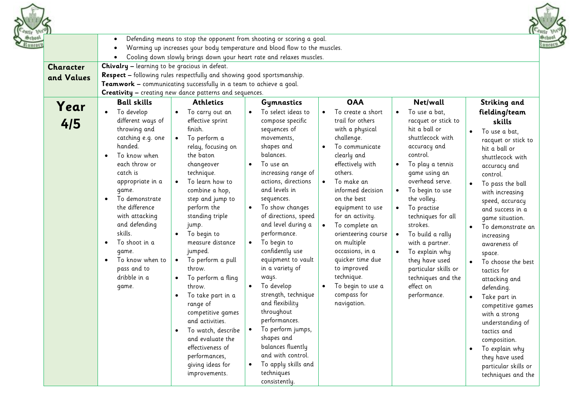| <b>Character</b> | Defending means to stop the opponent from shooting or scoring a goal.<br>Warming up increases your body temperature and blood flow to the muscles.<br>Cooling down slowly brings down your heart rate and relaxes muscles.<br>Chivalry - learning to be gracious in defeat.<br><b>Respect</b> - following rules respectfully and showing good sportsmanship.                                                                                                                                                                                                                                                                                                                                                                                                                                                                                                                                                                       |                                                                                                                                                                                                                                                                                                                                                                                                                                                                                                                                                                                      |                                                                                                                                                                                                                                                                                                                                                                                                                               |                                                                                                                                                                                                                                                                                                                                                                                                                                                                        |                                                                                                                                                                                                                                                                                                                                                                                                                                                                                                                                                                      |
|------------------|------------------------------------------------------------------------------------------------------------------------------------------------------------------------------------------------------------------------------------------------------------------------------------------------------------------------------------------------------------------------------------------------------------------------------------------------------------------------------------------------------------------------------------------------------------------------------------------------------------------------------------------------------------------------------------------------------------------------------------------------------------------------------------------------------------------------------------------------------------------------------------------------------------------------------------|--------------------------------------------------------------------------------------------------------------------------------------------------------------------------------------------------------------------------------------------------------------------------------------------------------------------------------------------------------------------------------------------------------------------------------------------------------------------------------------------------------------------------------------------------------------------------------------|-------------------------------------------------------------------------------------------------------------------------------------------------------------------------------------------------------------------------------------------------------------------------------------------------------------------------------------------------------------------------------------------------------------------------------|------------------------------------------------------------------------------------------------------------------------------------------------------------------------------------------------------------------------------------------------------------------------------------------------------------------------------------------------------------------------------------------------------------------------------------------------------------------------|----------------------------------------------------------------------------------------------------------------------------------------------------------------------------------------------------------------------------------------------------------------------------------------------------------------------------------------------------------------------------------------------------------------------------------------------------------------------------------------------------------------------------------------------------------------------|
| and Values       | Teamwork - communicating successfully in a team to achieve a goal.<br>Creativity - creating new dance patterns and sequences.                                                                                                                                                                                                                                                                                                                                                                                                                                                                                                                                                                                                                                                                                                                                                                                                      |                                                                                                                                                                                                                                                                                                                                                                                                                                                                                                                                                                                      |                                                                                                                                                                                                                                                                                                                                                                                                                               |                                                                                                                                                                                                                                                                                                                                                                                                                                                                        |                                                                                                                                                                                                                                                                                                                                                                                                                                                                                                                                                                      |
| Year<br>4/5      | <b>Ball skills</b><br><b>Athletics</b><br>To develop<br>To carry out an<br>different ways of<br>effective sprint<br>finish.<br>throwing and<br>catching e.g. one<br>To perform a<br>handed.<br>relay, focusing on<br>To know when<br>the baton<br>each throw or<br>changeover<br>catch is<br>technique.<br>To learn how to<br>appropriate in a<br>combine a hop,<br>game.<br>To demonstrate<br>step and jump to<br>the difference<br>perform the<br>with attacking<br>standing triple<br>and defending<br>jump.<br>skills.<br>To begin to<br>To shoot in a<br>measure distance<br>jumped.<br>game.<br>To perform a pull<br>To know when to<br>$\bullet$<br>pass and to<br>throw.<br>dribble in a<br>To perform a fling<br>throw.<br>game.<br>To take part in a<br>range of<br>competitive games<br>and activities.<br>To watch, describe<br>$\bullet$<br>and evaluate the<br>effectiveness of<br>performances,<br>giving ideas for | Gymnastics<br>To select ideas to<br>compose specific<br>sequences of<br>movements,<br>shapes and<br>balances.<br>To use an<br>increasing range of<br>actions, directions<br>and levels in<br>sequences.<br>To show changes<br>of directions, speed<br>and level during a<br>$\bullet$<br>performance.<br>To begin to<br>confidently use<br>equipment to vault<br>in a variety of<br>ways.<br>To develop<br>strength, technique<br>and flexibility<br>throughout<br>performances.<br>To perform jumps,<br>shapes and<br>balances fluently<br>and with control.<br>To apply skills and | <b>OAA</b><br>To create a short<br>trail for others<br>with a physical<br>challenge.<br>To communicate<br>clearly and<br>effectively with<br>others.<br>To make an<br>informed decision<br>on the best<br>equipment to use<br>for an activity.<br>To complete an<br>orienteering course<br>on multiple<br>occasions, in a<br>quicker time due<br>to improved<br>technique.<br>To begin to use a<br>compass for<br>navigation. | Net/wall<br>To use a bat,<br>$\bullet$<br>racquet or stick to<br>hit a ball or<br>shuttlecock with<br>accuracy and<br>control.<br>To play a tennis<br>game using an<br>overhead serve.<br>To begin to use<br>$\bullet$<br>the volley.<br>To practise<br>$\bullet$<br>techniques for all<br>strokes.<br>To build a rally<br>$\bullet$<br>with a partner.<br>To explain why<br>they have used<br>particular skills or<br>techniques and the<br>effect on<br>performance. | Striking and<br>fielding/team<br>skills<br>To use a bat,<br>racquet or stick to<br>hit a ball or<br>shuttlecock with<br>accuracy and<br>control.<br>To pass the ball<br>with increasing<br>speed, accuracy<br>and success in a<br>game situation.<br>To demonstrate an<br>increasing<br>awareness of<br>space.<br>To choose the best<br>tactics for<br>attacking and<br>defending.<br>Take part in<br>competitive games<br>with a strong<br>understanding of<br>tactics and<br>composition.<br>To explain why<br>$\bullet$<br>they have used<br>particular skills or |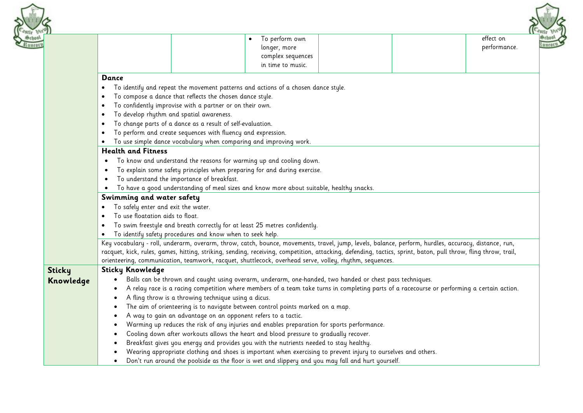

|               |                                                                                                                                                                                 | To perform own<br>longer, more<br>complex sequences |  | effect on<br>performance. |  |  |  |  |
|---------------|---------------------------------------------------------------------------------------------------------------------------------------------------------------------------------|-----------------------------------------------------|--|---------------------------|--|--|--|--|
|               |                                                                                                                                                                                 | in time to music.                                   |  |                           |  |  |  |  |
|               | Dance                                                                                                                                                                           |                                                     |  |                           |  |  |  |  |
|               | To identify and repeat the movement patterns and actions of a chosen dance style.                                                                                               |                                                     |  |                           |  |  |  |  |
|               | To compose a dance that reflects the chosen dance style.<br>٠                                                                                                                   |                                                     |  |                           |  |  |  |  |
|               | To confidently improvise with a partner or on their own.                                                                                                                        |                                                     |  |                           |  |  |  |  |
|               | To develop rhythm and spatial awareness.                                                                                                                                        |                                                     |  |                           |  |  |  |  |
|               | To change parts of a dance as a result of self-evaluation.<br>٠                                                                                                                 |                                                     |  |                           |  |  |  |  |
|               | To perform and create sequences with fluency and expression.                                                                                                                    |                                                     |  |                           |  |  |  |  |
|               | To use simple dance vocabulary when comparing and improving work.<br><b>Health and Fitness</b>                                                                                  |                                                     |  |                           |  |  |  |  |
|               |                                                                                                                                                                                 |                                                     |  |                           |  |  |  |  |
|               | To know and understand the reasons for warming up and cooling down.                                                                                                             |                                                     |  |                           |  |  |  |  |
|               | To explain some safety principles when preparing for and during exercise.                                                                                                       |                                                     |  |                           |  |  |  |  |
|               | To understand the importance of breakfast.                                                                                                                                      |                                                     |  |                           |  |  |  |  |
|               | To have a good understanding of meal sizes and know more about suitable, healthy snacks.<br>Swimming and water safety                                                           |                                                     |  |                           |  |  |  |  |
|               | To safely enter and exit the water.                                                                                                                                             |                                                     |  |                           |  |  |  |  |
|               | To use floatation aids to float.                                                                                                                                                |                                                     |  |                           |  |  |  |  |
|               | To swim freestyle and breath correctly for at least 25 metres confidently.                                                                                                      |                                                     |  |                           |  |  |  |  |
|               | To identify safety procedures and know when to seek help.                                                                                                                       |                                                     |  |                           |  |  |  |  |
|               | Key vocabulary - roll, underarm, overarm, throw, catch, bounce, movements, travel, jump, levels, balance, perform, hurdles, accuracy, distance, run,                            |                                                     |  |                           |  |  |  |  |
|               | racquet, kick, rules, games, hitting, striking, sending, receiving, competition, attacking, defending, tactics, sprint, baton, pull throw, fling throw, trail,                  |                                                     |  |                           |  |  |  |  |
|               | orienteering, communication, teamwork, racquet, shuttlecock, overhead serve, volley, rhythm, sequences.                                                                         |                                                     |  |                           |  |  |  |  |
| <b>Sticky</b> | <b>Sticky Knowledge</b>                                                                                                                                                         |                                                     |  |                           |  |  |  |  |
| Knowledge     | Balls can be thrown and caught using overarm, underarm, one-handed, two handed or chest pass techniques.                                                                        |                                                     |  |                           |  |  |  |  |
|               | A relay race is a racing competition where members of a team take turns in completing parts of a racecourse or performing a certain action.                                     |                                                     |  |                           |  |  |  |  |
|               | A fling throw is a throwing technique using a dicus.                                                                                                                            |                                                     |  |                           |  |  |  |  |
|               | The aim of orienteering is to navigate between control points marked on a map.                                                                                                  |                                                     |  |                           |  |  |  |  |
|               | A way to gain an advantage on an opponent refers to a tactic.                                                                                                                   |                                                     |  |                           |  |  |  |  |
|               | Warming up reduces the risk of any injuries and enables preparation for sports performance.                                                                                     |                                                     |  |                           |  |  |  |  |
|               | Cooling down after workouts allows the heart and blood pressure to gradually recover.<br>Breakfast gives you energy and provides you with the nutrients needed to stay healthy. |                                                     |  |                           |  |  |  |  |
|               | Wearing appropriate clothing and shoes is important when exercising to prevent injury to ourselves and others.                                                                  |                                                     |  |                           |  |  |  |  |
|               | Don't run around the poolside as the floor is wet and slippery and you may fall and hurt yourself.<br>$\bullet$                                                                 |                                                     |  |                           |  |  |  |  |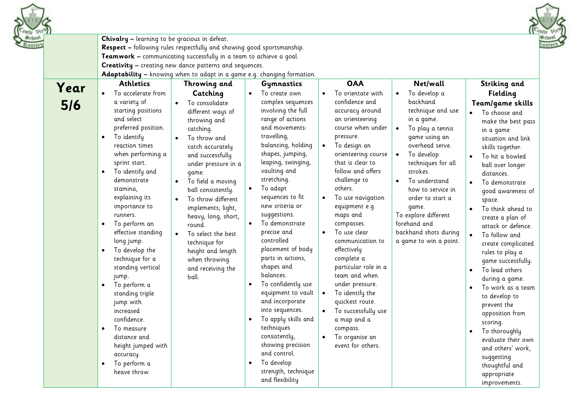|             | Chivalry - learning to be gracious in defeat.                                                                                                                                                                                                                                                                                                                                                                                                                                                                  | Respect - following rules respectfully and showing good sportsmanship.<br>Teamwork - communicating successfully in a team to achieve a goal.<br>Creativity - creating new dance patterns and sequences.                                                                                                                                                                                                                                                                                                                      |                                                                                                                                                                                                                                                                                                                                                                                                                                                                                                            |                                                                                                                                                                                                                                                                                                                                                                                                                                                                                                                 |                                                                                                                                                                                                                                                                                                                                                                                      |                                                                                                                                                                                                                                                                                                                                                                                                                                                                                                                               |
|-------------|----------------------------------------------------------------------------------------------------------------------------------------------------------------------------------------------------------------------------------------------------------------------------------------------------------------------------------------------------------------------------------------------------------------------------------------------------------------------------------------------------------------|------------------------------------------------------------------------------------------------------------------------------------------------------------------------------------------------------------------------------------------------------------------------------------------------------------------------------------------------------------------------------------------------------------------------------------------------------------------------------------------------------------------------------|------------------------------------------------------------------------------------------------------------------------------------------------------------------------------------------------------------------------------------------------------------------------------------------------------------------------------------------------------------------------------------------------------------------------------------------------------------------------------------------------------------|-----------------------------------------------------------------------------------------------------------------------------------------------------------------------------------------------------------------------------------------------------------------------------------------------------------------------------------------------------------------------------------------------------------------------------------------------------------------------------------------------------------------|--------------------------------------------------------------------------------------------------------------------------------------------------------------------------------------------------------------------------------------------------------------------------------------------------------------------------------------------------------------------------------------|-------------------------------------------------------------------------------------------------------------------------------------------------------------------------------------------------------------------------------------------------------------------------------------------------------------------------------------------------------------------------------------------------------------------------------------------------------------------------------------------------------------------------------|
| Year<br>5/6 | <b>Athletics</b><br>To accelerate from<br>a variety of<br>starting positions<br>and select<br>preferred position.<br>To identify<br>$\bullet$<br>reaction times<br>when performing a<br>sprint start.<br>To identify and<br>$\bullet$<br>demonstrate<br>stamina,<br>explaining its<br>importance to<br>runners.<br>To perform an<br>٠<br>effective standing<br>long jump.<br>To develop the<br>٠<br>technique for a<br>standing vertical<br>jump.<br>To perform a<br>$\bullet$<br>standing triple<br>jump with | Adaptability - knowing when to adapt in a game e.g. changing formation.<br>Throwing and<br>Catching<br>To consolidate<br>$\bullet$<br>different ways of<br>throwing and<br>catching.<br>To throw and<br>catch accurately<br>and successfully<br>under pressure in a<br>game.<br>To field a moving<br>$\bullet$<br>ball consistently.<br>To throw different<br>implements; light,<br>heavy, long, short,<br>round.<br>To select the best<br>technique for<br>height and length<br>when throwing<br>and receiving the<br>ball. | Gymnastics<br>To create own<br>$\bullet$<br>complex sequences<br>involving the full<br>range of actions<br>and movements:<br>travelling,<br>balancing, holding<br>shapes, jumping,<br>leaping, swinging,<br>vaulting and<br>stretching.<br>To adapt<br>sequences to fit<br>new criteria or<br>suggestions.<br>To demonstrate<br>precise and<br>controlled<br>placement of body<br>parts in actions,<br>shapes and<br>balances.<br>To confidently use<br>$\bullet$<br>equipment to vault<br>and incorporate | <b>OAA</b><br>To orientate with<br>$\bullet$<br>confidence and<br>accuracy around<br>an orienteering<br>course when under<br>pressure.<br>To design an<br>$\bullet$<br>orienteering course<br>that is clear to<br>follow and offers<br>challenge to<br>others.<br>To use navigation<br>equipment e.g.<br>maps and<br>compasses.<br>To use clear<br>communication to<br>effectively<br>complete a<br>particular role in a<br>team and when<br>under pressure.<br>To identify the<br>$\bullet$<br>quickest route. | Net/wall<br>To develop a<br>$\bullet$<br>backhand<br>technique and use<br>in a game.<br>To play a tennis<br>game using an<br>overhead serve.<br>To develop<br>$\bullet$<br>techniques for all<br>strokes.<br>To understand<br>$\bullet$<br>how to service in<br>order to start a<br>qame.<br>To explore different<br>forehand and<br>backhand shots during<br>a game to win a point. | Striking and<br>Fielding<br>Team/game skills<br>To choose and<br>make the best pass<br>in a game<br>situation and link<br>skills together.<br>To hit a bowled<br>$\bullet$<br>ball over longer<br>distances.<br>To demonstrate<br>good awareness of<br>space.<br>To think ahead to<br>$\bullet$<br>create a plan of<br>attack or defence.<br>To follow and<br>$\bullet$<br>create complicated<br>rules to play a<br>game successfully.<br>To lead others<br>$\bullet$<br>during a game.<br>To work as a team<br>to develop to |
|             | increased<br>confidence.<br>To measure<br>$\bullet$<br>distance and<br>height jumped with<br>accuracy.<br>To perform a<br>$\bullet$<br>heave throw.                                                                                                                                                                                                                                                                                                                                                            |                                                                                                                                                                                                                                                                                                                                                                                                                                                                                                                              | into sequences.<br>To apply skills and<br>techniques<br>consistently,<br>showing precision<br>and control.<br>To develop<br>$\bullet$<br>strength, technique<br>and flexibility                                                                                                                                                                                                                                                                                                                            | To successfully use<br>a map and a<br>compass.<br>To organise an<br>event for others.                                                                                                                                                                                                                                                                                                                                                                                                                           |                                                                                                                                                                                                                                                                                                                                                                                      | prevent the<br>opposition from<br>scoring.<br>To thoroughly<br>$\bullet$<br>evaluate their own<br>and others' work,<br>suggesting<br>thoughtful and<br>appropriate<br>improvements.                                                                                                                                                                                                                                                                                                                                           |

ante pie mear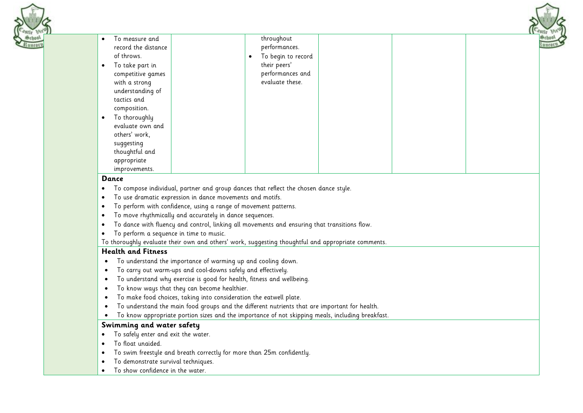

### **Dance**

- To compose individual, partner and group dances that reflect the chosen dance style.
- To use dramatic expression in dance movements and motifs.
- To perform with confidence, using a range of movement patterns.
- To move rhythmically and accurately in dance sequences.
- To dance with fluency and control, linking all movements and ensuring that transitions flow.
- To perform a sequence in time to music.
- To thoroughly evaluate their own and others' work, suggesting thoughtful and appropriate comments.

# **Health and Fitness**

- To understand the importance of warming up and cooling down.
- To carry out warm-ups and cool-downs safely and effectively.
- To understand why exercise is good for health, fitness and wellbeing.
- To know ways that they can become healthier.
- To make food choices, taking into consideration the eatwell plate.
- To understand the main food groups and the different nutrients that are important for health.
- To know appropriate portion sizes and the importance of not skipping meals, including breakfast.

# **Swimming and water safety**

- To safely enter and exit the water.
- To float unaided.
- To swim freestyle and breath correctly for more than 25m confidently.
- To demonstrate survival techniques.
- To show confidence in the water.